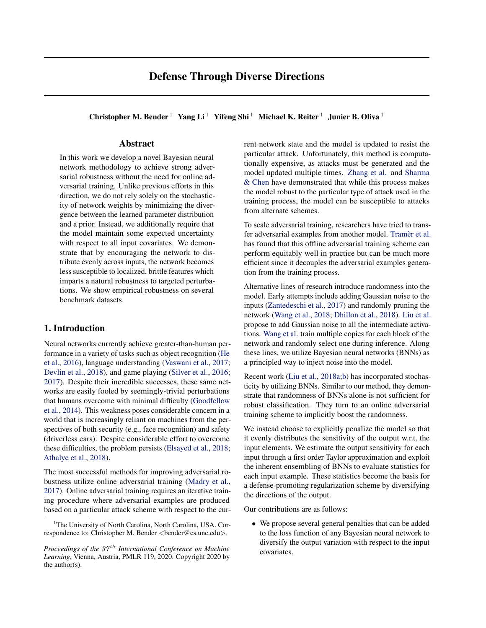# Defense Through Diverse Directions

Christopher M. Bender<sup>1</sup> Yang Li<sup>1</sup> Yifeng Shi<sup>1</sup> Michael K. Reiter<sup>1</sup> Junier B. Oliva<sup>1</sup>

# Abstract

In this work we develop a novel Bayesian neural network methodology to achieve strong adversarial robustness without the need for online adversarial training. Unlike previous efforts in this direction, we do not rely solely on the stochasticity of network weights by minimizing the divergence between the learned parameter distribution and a prior. Instead, we additionally require that the model maintain some expected uncertainty with respect to all input covariates. We demonstrate that by encouraging the network to distribute evenly across inputs, the network becomes less susceptible to localized, brittle features which imparts a natural robustness to targeted perturbations. We show empirical robustness on several benchmark datasets.

# 1. Introduction

Neural networks currently achieve greater-than-human performance in a variety of tasks such as object recognition [\(He](#page-9-0) [et al.,](#page-9-0) [2016\)](#page-9-0), language understanding [\(Vaswani et al.,](#page-10-0) [2017;](#page-10-0) [Devlin et al.,](#page-8-0) [2018\)](#page-8-0), and game playing [\(Silver et al.,](#page-9-0) [2016;](#page-9-0) [2017\)](#page-9-0). Despite their incredible successes, these same networks are easily fooled by seemingly-trivial perturbations that humans overcome with minimal difficulty [\(Goodfellow](#page-9-0) [et al.,](#page-9-0) [2014\)](#page-9-0). This weakness poses considerable concern in a world that is increasingly reliant on machines from the perspectives of both security (e.g., face recognition) and safety (driverless cars). Despite considerable effort to overcome these difficulties, the problem persists [\(Elsayed et al.,](#page-9-0) [2018;](#page-9-0) [Athalye et al.,](#page-8-0) [2018\)](#page-8-0).

The most successful methods for improving adversarial robustness utilize online adversarial training [\(Madry et al.,](#page-9-0) [2017\)](#page-9-0). Online adversarial training requires an iterative training procedure where adversarial examples are produced based on a particular attack scheme with respect to the current network state and the model is updated to resist the particular attack. Unfortunately, this method is computationally expensive, as attacks must be generated and the model updated multiple times. [Zhang et al.](#page-10-0) and [Sharma](#page-9-0) [& Chen](#page-9-0) have demonstrated that while this process makes the model robust to the particular type of attack used in the training process, the model can be susceptible to attacks from alternate schemes.

To scale adversarial training, researchers have tried to transfer adversarial examples from another model. Tramèr et al. has found that this offline adversarial training scheme can perform equitably well in practice but can be much more efficient since it decouples the adversarial examples generation from the training process.

Alternative lines of research introduce randomness into the model. Early attempts include adding Gaussian noise to the inputs [\(Zantedeschi et al.,](#page-10-0) [2017\)](#page-10-0) and randomly pruning the network [\(Wang et al.,](#page-10-0) [2018;](#page-10-0) [Dhillon et al.,](#page-8-0) [2018\)](#page-8-0). [Liu et al.](#page-9-0) propose to add Gaussian noise to all the intermediate activations. [Wang et al.](#page-10-0) train multiple copies for each block of the network and randomly select one during inference. Along these lines, we utilize Bayesian neural networks (BNNs) as a principled way to inject noise into the model.

Recent work [\(Liu et al.,](#page-9-0) [2018a;b\)](#page-9-0) has incorporated stochasticity by utilizing BNNs. Similar to our method, they demonstrate that randomness of BNNs alone is not sufficient for robust classification. They turn to an online adversarial training scheme to implicitly boost the randomness.

We instead choose to explicitly penalize the model so that it evenly distributes the sensitivity of the output w.r.t. the input elements. We estimate the output sensitivity for each input through a first order Taylor approximation and exploit the inherent ensembling of BNNs to evaluate statistics for each input example. These statistics become the basis for a defense-promoting regularization scheme by diversifying the directions of the output.

Our contributions are as follows:

• We propose several general penalties that can be added to the loss function of any Bayesian neural network to diversify the output variation with respect to the input covariates.

<sup>&</sup>lt;sup>1</sup>The University of North Carolina, North Carolina, USA. Correspondence to: Christopher M. Bender <br/>bender@cs.unc.edu>.

*Proceedings of the 37<sup>th</sup> International Conference on Machine Learning*, Vienna, Austria, PMLR 119, 2020. Copyright 2020 by the author(s).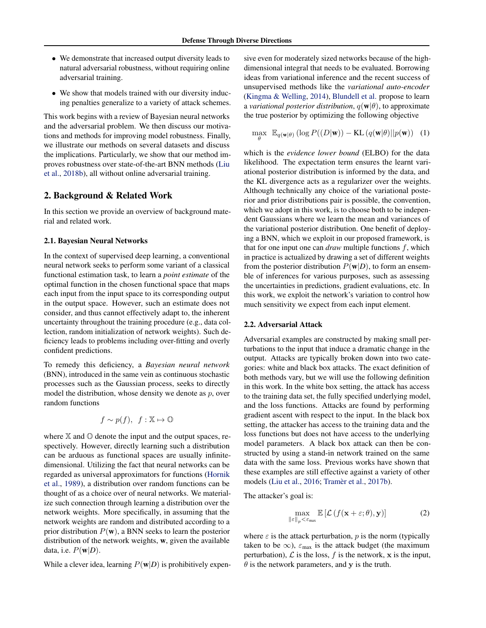- <span id="page-1-0"></span>• We demonstrate that increased output diversity leads to natural adversarial robustness, without requiring online adversarial training.
- We show that models trained with our diversity inducing penalties generalize to a variety of attack schemes.

This work begins with a review of Bayesian neural networks and the adversarial problem. We then discuss our motivations and methods for improving model robustness. Finally, we illustrate our methods on several datasets and discuss the implications. Particularly, we show that our method improves robustness over state-of-the-art BNN methods [\(Liu](#page-9-0) [et al.,](#page-9-0) [2018b\)](#page-9-0), all without online adversarial training.

# 2. Background & Related Work

In this section we provide an overview of background material and related work.

#### 2.1. Bayesian Neural Networks

In the context of supervised deep learning, a conventional neural network seeks to perform some variant of a classical functional estimation task, to learn a *point estimate* of the optimal function in the chosen functional space that maps each input from the input space to its corresponding output in the output space. However, such an estimate does not consider, and thus cannot effectively adapt to, the inherent uncertainty throughout the training procedure (e.g., data collection, random initialization of network weights). Such deficiency leads to problems including over-fitting and overly confident predictions.

To remedy this deficiency, a *Bayesian neural network* (BNN), introduced in the same vein as continuous stochastic processes such as the Gaussian process, seeks to directly model the distribution, whose density we denote as  $p$ , over random functions

$$
f \sim p(f), \ f: \mathbb{X} \mapsto \mathbb{O}
$$

where  $X$  and  $\mathbb O$  denote the input and the output spaces, respectively. However, directly learning such a distribution can be arduous as functional spaces are usually infinitedimensional. Utilizing the fact that neural networks can be regarded as universal approximators for functions [\(Hornik](#page-9-0) [et al.,](#page-9-0) [1989\)](#page-9-0), a distribution over random functions can be thought of as a choice over of neural networks. We materialize such connection through learning a distribution over the network weights. More specifically, in assuming that the network weights are random and distributed according to a prior distribution  $P(\mathbf{w})$ , a BNN seeks to learn the posterior distribution of the network weights, w, given the available data, i.e.  $P(\mathbf{w}|D)$ .

While a clever idea, learning  $P(\mathbf{w}|D)$  is prohibitively expen-

sive even for moderately sized networks because of the highdimensional integral that needs to be evaluated. Borrowing ideas from variational inference and the recent success of unsupervised methods like the *variational auto-encoder* [\(Kingma & Welling,](#page-9-0) [2014\)](#page-9-0), [Blundell et al.](#page-8-0) propose to learn a *variational posterior distribution*,  $q(\mathbf{w}|\theta)$ , to approximate the true posterior by optimizing the following objective

$$
\max_{\theta} \ \mathbb{E}_{q(\mathbf{w}|\theta)}\left(\log P((D|\mathbf{w})) - \mathrm{KL}\left(q(\mathbf{w}|\theta)||p(\mathbf{w})\right) \right)
$$
 (1)

which is the *evidence lower bound* (ELBO) for the data likelihood. The expectation term ensures the learnt variational posterior distribution is informed by the data, and the KL divergence acts as a regularizer over the weights. Although technically any choice of the variational posterior and prior distributions pair is possible, the convention, which we adopt in this work, is to choose both to be independent Gaussians where we learn the mean and variances of the variational posterior distribution. One benefit of deploying a BNN, which we exploit in our proposed framework, is that for one input one can  $draw$  multiple functions  $f$ , which in practice is actualized by drawing a set of different weights from the posterior distribution  $P(\mathbf{w}|D)$ , to form an ensemble of inferences for various purposes, such as assessing the uncertainties in predictions, gradient evaluations, etc. In this work, we exploit the network's variation to control how much sensitivity we expect from each input element.

#### 2.2. Adversarial Attack

Adversarial examples are constructed by making small perturbations to the input that induce a dramatic change in the output. Attacks are typically broken down into two categories: white and black box attacks. The exact definition of both methods vary, but we will use the following definition in this work. In the white box setting, the attack has access to the training data set, the fully specified underlying model, and the loss functions. Attacks are found by performing gradient ascent with respect to the input. In the black box setting, the attacker has access to the training data and the loss functions but does not have access to the underlying model parameters. A black box attack can then be constructed by using a stand-in network trained on the same data with the same loss. Previous works have shown that these examples are still effective against a variety of other models [\(Liu et al.,](#page-9-0) [2016;](#page-9-0) Tramèr et al., [2017b\)](#page-10-0).

The attacker's goal is:

$$
\max_{\|\varepsilon\|_p < \varepsilon_{\max}} \mathbb{E}\left[\mathcal{L}\left(f(\mathbf{x} + \varepsilon; \theta), \mathbf{y}\right)\right]
$$
 (2)

where  $\varepsilon$  is the attack perturbation, p is the norm (typically taken to be  $\infty$ ),  $\varepsilon_{\text{max}}$  is the attack budget (the maximum perturbation),  $\mathcal L$  is the loss,  $f$  is the network,  $x$  is the input,  $\theta$  is the network parameters, and y is the truth.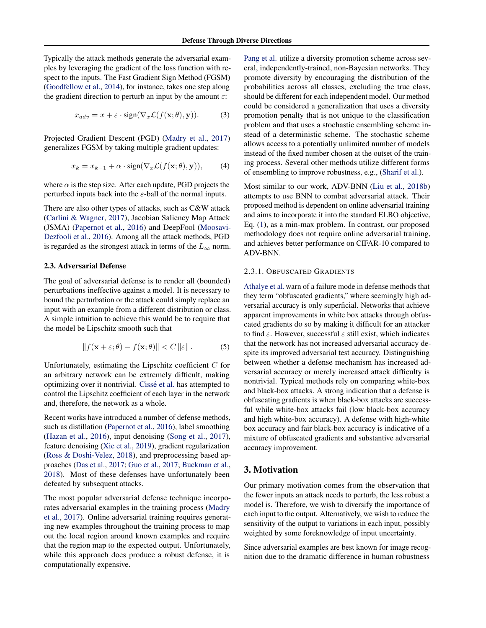<span id="page-2-0"></span>Typically the attack methods generate the adversarial examples by leveraging the gradient of the loss function with respect to the inputs. The Fast Gradient Sign Method (FGSM) [\(Goodfellow et al.,](#page-9-0) [2014\)](#page-9-0), for instance, takes one step along the gradient direction to perturb an input by the amount  $\varepsilon$ :

$$
x_{adv} = x + \varepsilon \cdot \text{sign}(\nabla_x \mathcal{L}(f(\mathbf{x}; \theta), \mathbf{y})). \tag{3}
$$

Projected Gradient Descent (PGD) [\(Madry et al.,](#page-9-0) [2017\)](#page-9-0) generalizes FGSM by taking multiple gradient updates:

$$
x_k = x_{k-1} + \alpha \cdot \text{sign}(\nabla_x \mathcal{L}(f(\mathbf{x}; \theta), \mathbf{y})), \qquad (4)
$$

where  $\alpha$  is the step size. After each update, PGD projects the perturbed inputs back into the  $\varepsilon$ -ball of the normal inputs.

There are also other types of attacks, such as C&W attack [\(Carlini & Wagner,](#page-8-0) [2017\)](#page-8-0), Jacobian Saliency Map Attack (JSMA) [\(Papernot et al.,](#page-9-0) [2016\)](#page-9-0) and DeepFool [\(Moosavi-](#page-9-0)[Dezfooli et al.,](#page-9-0) [2016\)](#page-9-0). Among all the attack methods, PGD is regarded as the strongest attack in terms of the  $L_{\infty}$  norm.

### 2.3. Adversarial Defense

The goal of adversarial defense is to render all (bounded) perturbations ineffective against a model. It is necessary to bound the perturbation or the attack could simply replace an input with an example from a different distribution or class. A simple intuition to achieve this would be to require that the model be Lipschitz smooth such that

$$
||f(\mathbf{x} + \varepsilon; \theta) - f(\mathbf{x}; \theta)|| < C ||\varepsilon||.
$$
 (5)

Unfortunately, estimating the Lipschitz coefficient  $C$  for an arbitrary network can be extremely difficult, making optimizing over it nontrivial. Cissé et al. has attempted to control the Lipschitz coefficient of each layer in the network and, therefore, the network as a whole.

Recent works have introduced a number of defense methods, such as distillation [\(Papernot et al.,](#page-9-0) [2016\)](#page-9-0), label smoothing [\(Hazan et al.,](#page-9-0) [2016\)](#page-9-0), input denoising [\(Song et al.,](#page-9-0) [2017\)](#page-9-0), feature denoising [\(Xie et al.,](#page-10-0) [2019\)](#page-10-0), gradient regularization [\(Ross & Doshi-Velez,](#page-9-0) [2018\)](#page-9-0), and preprocessing based approaches [\(Das et al.,](#page-8-0) [2017;](#page-8-0) [Guo et al.,](#page-9-0) [2017;](#page-9-0) [Buckman et al.,](#page-8-0) [2018\)](#page-8-0). Most of these defenses have unfortunately been defeated by subsequent attacks.

The most popular adversarial defense technique incorporates adversarial examples in the training process [\(Madry](#page-9-0) [et al.,](#page-9-0) [2017\)](#page-9-0). Online adversarial training requires generating new examples throughout the training process to map out the local region around known examples and require that the region map to the expected output. Unfortunately, while this approach does produce a robust defense, it is computationally expensive.

[Pang et al.](#page-9-0) utilize a diversity promotion scheme across several, independently-trained, non-Bayesian networks. They promote diversity by encouraging the distribution of the probabilities across all classes, excluding the true class, should be different for each independent model. Our method could be considered a generalization that uses a diversity promotion penalty that is not unique to the classification problem and that uses a stochastic ensembling scheme instead of a deterministic scheme. The stochastic scheme allows access to a potentially unlimited number of models instead of the fixed number chosen at the outset of the training process. Several other methods utilize different forms of ensembling to improve robustness, e.g., [\(Sharif et al.\)](#page-9-0).

Most similar to our work, ADV-BNN [\(Liu et al.,](#page-9-0) [2018b\)](#page-9-0) attempts to use BNN to combat adversarial attack. Their proposed method is dependent on online adversarial training and aims to incorporate it into the standard ELBO objective, Eq. [\(1\)](#page-1-0), as a min-max problem. In contrast, our proposed methodology does not require online adversarial training, and achieves better performance on CIFAR-10 compared to ADV-BNN.

#### 2.3.1. OBFUSCATED GRADIENTS

[Athalye et al.](#page-8-0)warn of a failure mode in defense methods that they term "obfuscated gradients," where seemingly high adversarial accuracy is only superficial. Networks that achieve apparent improvements in white box attacks through obfuscated gradients do so by making it difficult for an attacker to find  $\varepsilon$ . However, successful  $\varepsilon$  still exist, which indicates that the network has not increased adversarial accuracy despite its improved adversarial test accuracy. Distinguishing between whether a defense mechanism has increased adversarial accuracy or merely increased attack difficulty is nontrivial. Typical methods rely on comparing white-box and black-box attacks. A strong indication that a defense is obfuscating gradients is when black-box attacks are successful while white-box attacks fail (low black-box accuracy and high white-box accuracy). A defense with high-white box accuracy and fair black-box accuracy is indicative of a mixture of obfuscated gradients and substantive adversarial accuracy improvement.

# 3. Motivation

Our primary motivation comes from the observation that the fewer inputs an attack needs to perturb, the less robust a model is. Therefore, we wish to diversify the importance of each input to the output. Alternatively, we wish to reduce the sensitivity of the output to variations in each input, possibly weighted by some foreknowledge of input uncertainty.

Since adversarial examples are best known for image recognition due to the dramatic difference in human robustness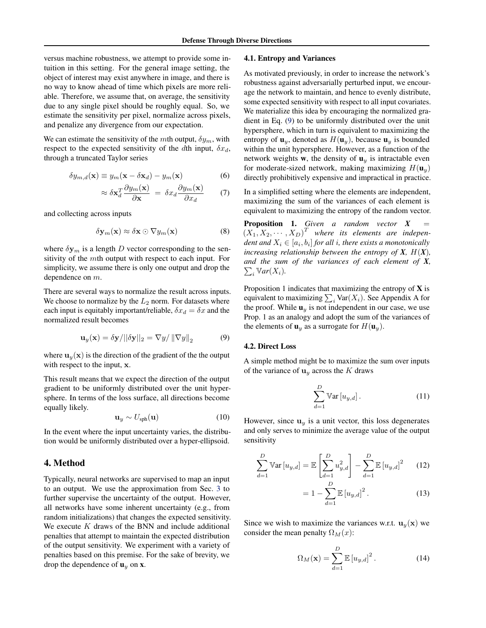<span id="page-3-0"></span>versus machine robustness, we attempt to provide some intuition in this setting. For the general image setting, the object of interest may exist anywhere in image, and there is no way to know ahead of time which pixels are more reliable. Therefore, we assume that, on average, the sensitivity due to any single pixel should be roughly equal. So, we estimate the sensitivity per pixel, normalize across pixels, and penalize any divergence from our expectation.

We can estimate the sensitivity of the mth output,  $\delta y_m$ , with respect to the expected sensitivity of the dth input,  $\delta x_d$ , through a truncated Taylor series

$$
\delta y_{m,d}(\mathbf{x}) \equiv y_m(\mathbf{x} - \delta \mathbf{x}_d) - y_m(\mathbf{x}) \tag{6}
$$

$$
\approx \delta \mathbf{x}_d^T \frac{\partial y_m(\mathbf{x})}{\partial \mathbf{x}} = \delta x_d \frac{\partial y_m(\mathbf{x})}{\partial x_d} \tag{7}
$$

and collecting across inputs

$$
\delta \mathbf{y}_m(\mathbf{x}) \approx \delta \mathbf{x} \odot \nabla y_m(\mathbf{x}) \tag{8}
$$

where  $\delta y_m$  is a length D vector corresponding to the sensitivity of the mth output with respect to each input. For simplicity, we assume there is only one output and drop the dependence on m.

There are several ways to normalize the result across inputs. We choose to normalize by the  $L_2$  norm. For datasets where each input is equitably important/reliable,  $\delta x_d = \delta x$  and the normalized result becomes

$$
\mathbf{u}_y(\mathbf{x}) = \delta \mathbf{y}/||\delta \mathbf{y}||_2 = \nabla y/||\nabla y||_2 \tag{9}
$$

where  $\mathbf{u}_y(\mathbf{x})$  is the direction of the gradient of the the output with respect to the input, x.

This result means that we expect the direction of the output gradient to be uniformly distributed over the unit hypersphere. In terms of the loss surface, all directions become equally likely.

$$
\mathbf{u}_y \sim U_{\rm sph}(\mathbf{u})\tag{10}
$$

In the event where the input uncertainty varies, the distribution would be uniformly distributed over a hyper-ellipsoid.

## 4. Method

Typically, neural networks are supervised to map an input to an output. We use the approximation from Sec. [3](#page-2-0) to further supervise the uncertainty of the output. However, all networks have some inherent uncertainty (e.g., from random initializations) that changes the expected sensitivity. We execute  $K$  draws of the BNN and include additional penalties that attempt to maintain the expected distribution of the output sensitivity. We experiment with a variety of penalties based on this premise. For the sake of brevity, we drop the dependence of  $\mathbf{u}_y$  on **x**.

### 4.1. Entropy and Variances

As motivated previously, in order to increase the network's robustness against adversarially perturbed input, we encourage the network to maintain, and hence to evenly distribute, some expected sensitivity with respect to all input covariates. We materialize this idea by encouraging the normalized gradient in Eq. (9) to be uniformly distributed over the unit hypersphere, which in turn is equivalent to maximizing the entropy of  $\mathbf{u}_y$ , denoted as  $H(\mathbf{u}_y)$ , because  $\mathbf{u}_y$  is bounded within the unit hypersphere. However, as a function of the network weights **w**, the density of  $\mathbf{u}_y$  is intractable even for moderate-sized network, making maximizing  $H(\mathbf{u}_y)$ directly prohibitively expensive and impractical in practice.

In a simplified setting where the elements are independent, maximizing the sum of the variances of each element is equivalent to maximizing the entropy of the random vector.

Proposition 1. *Given a random vector* X  $(X_1, X_2, \dots, X_D)^T$  where its elements are indepen $d$ ent and  $X_i \in [a_i,b_i]$  for all i, there exists a monotonically *increasing relationship between the entropy of*  $X$ *,*  $H(X)$ *, and the sum of the variances of each element of X,*  $\sum_i \mathbb{V}ar(X_i)$ .

Proposition 1 indicates that maximizing the entropy of  $X$  is equivalent to maximizing  $\sum_i \text{Var}(X_i)$ . See Appendix A for the proof. While  $\mathbf{u}_y$  is not independent in our case, we use Prop. 1 as an analogy and adopt the sum of the variances of the elements of  $\mathbf{u}_y$  as a surrogate for  $H(\mathbf{u}_y)$ .

### 4.2. Direct Loss

A simple method might be to maximize the sum over inputs of the variance of  $\mathbf{u}_y$  across the K draws

$$
\sum_{d=1}^{D} \mathbb{V}\text{ar}\left[u_{y,d}\right].\tag{11}
$$

However, since  $\mathbf{u}_y$  is a unit vector, this loss degenerates and only serves to minimize the average value of the output sensitivity

$$
\sum_{d=1}^{D} \mathbb{V}\text{ar}\left[u_{y,d}\right] = \mathbb{E}\left[\sum_{d=1}^{D} u_{y,d}^{2}\right] - \sum_{d=1}^{D} \mathbb{E}\left[u_{y,d}\right]^{2} \quad (12)
$$

$$
= 1 - \sum_{d=1}^{D} \mathbb{E}\left[u_{y,d}\right]^{2}. \quad (13)
$$

Since we wish to maximize the variances w.r.t.  $\mathbf{u}_y(\mathbf{x})$  we consider the mean penalty  $\Omega_M(x)$ :

 $\overline{d=1}$ 

$$
\Omega_M(\mathbf{x}) = \sum_{d=1}^D \mathbb{E}\left[u_{y,d}\right]^2.
$$
 (14)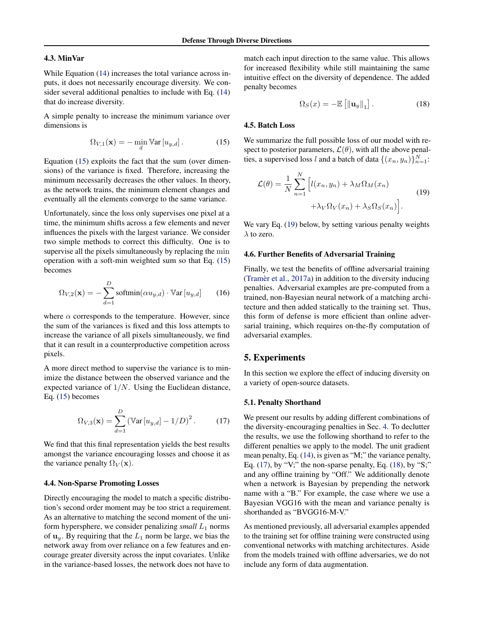### <span id="page-4-0"></span>4.3. MinVar

While Equation [\(14\)](#page-3-0) increases the total variance across inputs, it does not necessarily encourage diversity. We consider several additional penalties to include with Eq. [\(14\)](#page-3-0) that do increase diversity.

A simple penalty to increase the minimum variance over dimensions is

$$
\Omega_{V,1}(\mathbf{x}) = -\min_{d} \mathbb{V}\text{ar}\left[u_{y,d}\right].\tag{15}
$$

Equation (15) exploits the fact that the sum (over dimensions) of the variance is fixed. Therefore, increasing the minimum necessarily decreases the other values. In theory, as the network trains, the minimum element changes and eventually all the elements converge to the same variance.

Unfortunately, since the loss only supervises one pixel at a time, the minimum shifts across a few elements and never influences the pixels with the largest variance. We consider two simple methods to correct this difficulty. One is to supervise all the pixels simultaneously by replacing the min operation with a soft-min weighted sum so that Eq. (15) becomes

$$
\Omega_{V,2}(\mathbf{x}) = -\sum_{d=1}^{D} \text{softmax}(\alpha u_{y,d}) \cdot \text{Var}\left[u_{y,d}\right] \qquad (16)
$$

where  $\alpha$  corresponds to the temperature. However, since the sum of the variances is fixed and this loss attempts to increase the variance of all pixels simultaneously, we find that it can result in a counterproductive competition across pixels.

A more direct method to supervise the variance is to minimize the distance between the observed variance and the expected variance of  $1/N$ . Using the Euclidean distance, Eq. (15) becomes

$$
\Omega_{V,3}(\mathbf{x}) = \sum_{d=1}^{D} (\text{Var}\left[u_{y,d}\right] - 1/D)^2.
$$
 (17)

We find that this final representation yields the best results amongst the variance encouraging losses and choose it as the variance penalty  $\Omega_V(\mathbf{x})$ .

### 4.4. Non-Sparse Promoting Losses

Directly encouraging the model to match a specific distribution's second order moment may be too strict a requirement. As an alternative to matching the second moment of the uniform hypersphere, we consider penalizing  $small L_1$  norms of  $\mathbf{u}_y$ . By requiring that the  $L_1$  norm be large, we bias the network away from over reliance on a few features and encourage greater diversity across the input covariates. Unlike in the variance-based losses, the network does not have to

match each input direction to the same value. This allows for increased flexibility while still maintaining the same intuitive effect on the diversity of dependence. The added penalty becomes

$$
\Omega_S(x) = -\mathbb{E}\left[\left\|\mathbf{u}_y\right\|_1\right].\tag{18}
$$

### 4.5. Batch Loss

We summarize the full possible loss of our model with respect to posterior parameters,  $\mathcal{L}(\theta)$ , with all the above penalties, a supervised loss l and a batch of data  $\{(x_n, y_n)\}_{n=1}^N$ :

$$
\mathcal{L}(\theta) = \frac{1}{N} \sum_{n=1}^{N} \left[ l(x_n, y_n) + \lambda_M \Omega_M(x_n) + \lambda_V \Omega_V(x_n) + \lambda_S \Omega_S(x_n) \right].
$$
\n(19)

We vary Eq. (19) below, by setting various penalty weights  $\lambda$  to zero.

#### 4.6. Further Benefits of Adversarial Training

Finally, we test the benefits of offline adversarial training (Tramèr et al.,  $2017a$ ) in addition to the diversity inducing penalties. Adversarial examples are pre-computed from a trained, non-Bayesian neural network of a matching architecture and then added statically to the training set. Thus, this form of defense is more efficient than online adversarial training, which requires on-the-fly computation of adversarial examples.

# 5. Experiments

In this section we explore the effect of inducing diversity on a variety of open-source datasets.

#### 5.1. Penalty Shorthand

We present our results by adding different combinations of the diversity-encouraging penalties in Sec. [4.](#page-3-0) To declutter the results, we use the following shorthand to refer to the different penalties we apply to the model. The unit gradient mean penalty, Eq. [\(14\)](#page-3-0), is given as "M;" the variance penalty, Eq.  $(17)$ , by "V;" the non-sparse penalty, Eq.  $(18)$ , by "S;" and any offline training by "Off." We additionally denote when a network is Bayesian by prepending the network name with a "B." For example, the case where we use a Bayesian VGG16 with the mean and variance penalty is shorthanded as "BVGG16-M-V."

As mentioned previously, all adversarial examples appended to the training set for offline training were constructed using conventional networks with matching architectures. Aside from the models trained with offline adversaries, we do not include any form of data augmentation.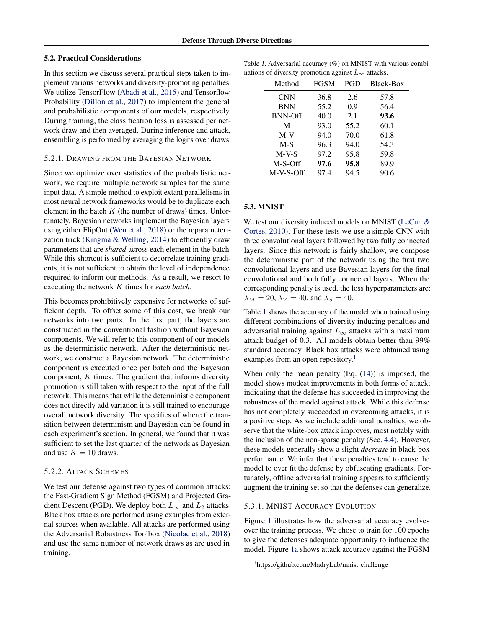### <span id="page-5-0"></span>5.2. Practical Considerations

In this section we discuss several practical steps taken to implement various networks and diversity-promoting penalties. We utilize TensorFlow [\(Abadi et al.,](#page-8-0) [2015\)](#page-8-0) and Tensorflow Probability [\(Dillon et al.,](#page-8-0) [2017\)](#page-8-0) to implement the general and probabilistic components of our models, respectively. During training, the classification loss is assessed per network draw and then averaged. During inference and attack, ensembling is performed by averaging the logits over draws.

#### 5.2.1. DRAWING FROM THE BAYESIAN NETWORK

Since we optimize over statistics of the probabilistic network, we require multiple network samples for the same input data. A simple method to exploit extant parallelisms in most neural network frameworks would be to duplicate each element in the batch  $K$  (the number of draws) times. Unfortunately, Bayesian networks implement the Bayesian layers using either FlipOut [\(Wen et al.,](#page-10-0) [2018\)](#page-10-0) or the reparameterization trick [\(Kingma & Welling,](#page-9-0) [2014\)](#page-9-0) to efficiently draw parameters that are *shared* across each element in the batch. While this shortcut is sufficient to decorrelate training gradients, it is not sufficient to obtain the level of independence required to inform our methods. As a result, we resort to executing the network K times for *each batch*.

This becomes prohibitively expensive for networks of sufficient depth. To offset some of this cost, we break our networks into two parts. In the first part, the layers are constructed in the conventional fashion without Bayesian components. We will refer to this component of our models as the deterministic network. After the deterministic network, we construct a Bayesian network. The deterministic component is executed once per batch and the Bayesian component,  $K$  times. The gradient that informs diversity promotion is still taken with respect to the input of the full network. This means that while the deterministic component does not directly add variation it is still trained to encourage overall network diversity. The specifics of where the transition between determinism and Bayesian can be found in each experiment's section. In general, we found that it was sufficient to set the last quarter of the network as Bayesian and use  $K = 10$  draws.

### 5.2.2. ATTACK SCHEMES

We test our defense against two types of common attacks: the Fast-Gradient Sign Method (FGSM) and Projected Gradient Descent (PGD). We deploy both  $L_{\infty}$  and  $L_2$  attacks. Black box attacks are performed using examples from external sources when available. All attacks are performed using the Adversarial Robustness Toolbox [\(Nicolae et al.,](#page-9-0) [2018\)](#page-9-0) and use the same number of network draws as are used in training.

| Table 1. Adversarial accuracy $(\%)$ on MNIST with various combi- |  |
|-------------------------------------------------------------------|--|
| nations of diversity promotion against $L_{\infty}$ attacks.      |  |

| ັ້             | ັ           | --   |           |
|----------------|-------------|------|-----------|
| Method         | <b>FGSM</b> | PGD  | Black-Box |
| <b>CNN</b>     | 36.8        | 2.6  | 57.8      |
| <b>BNN</b>     | 55.2        | 0.9  | 56.4      |
| <b>BNN-Off</b> | 40.0        | 2.1  | 93.6      |
| М              | 93.0        | 55.2 | 60.1      |
| $M-V$          | 94.0        | 70.0 | 61.8      |
| $M-S$          | 96.3        | 94.0 | 54.3      |
| $M-V-S$        | 97.2        | 95.8 | 59.8      |
| M-S-Off        | 97.6        | 95.8 | 89.9      |
| M-V-S-Off      | 97.4        | 94.5 | 90.6      |

# 5.3. MNIST

We test our diversity induced models on MNIST [\(LeCun &](#page-9-0) [Cortes,](#page-9-0) [2010\)](#page-9-0). For these tests we use a simple CNN with three convolutional layers followed by two fully connected layers. Since this network is fairly shallow, we compose the deterministic part of the network using the first two convolutional layers and use Bayesian layers for the final convolutional and both fully connected layers. When the corresponding penalty is used, the loss hyperparameters are:  $\lambda_M = 20$ ,  $\lambda_V = 40$ , and  $\lambda_S = 40$ .

Table 1 shows the accuracy of the model when trained using different combinations of diversity inducing penalties and adversarial training against  $L_{\infty}$  attacks with a maximum attack budget of 0.3. All models obtain better than 99% standard accuracy. Black box attacks were obtained using examples from an open repository.<sup>1</sup>

When only the mean penalty (Eq. [\(14\)](#page-3-0)) is imposed, the model shows modest improvements in both forms of attack; indicating that the defense has succeeded in improving the robustness of the model against attack. While this defense has not completely succeeded in overcoming attacks, it is a positive step. As we include additional penalties, we observe that the white-box attack improves, most notably with the inclusion of the non-sparse penalty (Sec. [4.4\)](#page-4-0). However, these models generally show a slight *decrease* in black-box performance. We infer that these penalties tend to cause the model to over fit the defense by obfuscating gradients. Fortunately, offline adversarial training appears to sufficiently augment the training set so that the defenses can generalize.

### 5.3.1. MNIST ACCURACY EVOLUTION

Figure [1](#page-6-0) illustrates how the adversarial accuracy evolves over the training process. We chose to train for 100 epochs to give the defenses adequate opportunity to influence the model. Figure [1a](#page-6-0) shows attack accuracy against the FGSM

<sup>1</sup> https://github.com/MadryLab/mnist challenge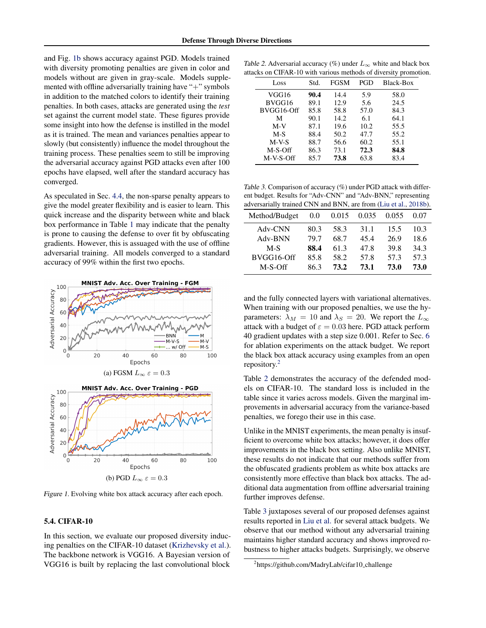<span id="page-6-0"></span>and Fig. 1b shows accuracy against PGD. Models trained with diversity promoting penalties are given in color and models without are given in gray-scale. Models supplemented with offline adversarially training have "+" symbols in addition to the matched colors to identify their training penalties. In both cases, attacks are generated using the *test* set against the current model state. These figures provide some insight into how the defense is instilled in the model as it is trained. The mean and variances penalties appear to slowly (but consistently) influence the model throughout the training process. These penalties seem to still be improving the adversarial accuracy against PGD attacks even after 100 epochs have elapsed, well after the standard accuracy has converged.

As speculated in Sec. [4.4,](#page-4-0) the non-sparse penalty appears to give the model greater flexibility and is easier to learn. This quick increase and the disparity between white and black box performance in Table [1](#page-5-0) may indicate that the penalty is prone to causing the defense to over fit by obfuscating gradients. However, this is assuaged with the use of offline adversarial training. All models converged to a standard accuracy of 99% within the first two epochs.



(b) PGD  $L_{\infty} \varepsilon = 0.3$ 

Figure 1. Evolving white box attack accuracy after each epoch.

# 5.4. CIFAR-10

In this section, we evaluate our proposed diversity inducing penalties on the CIFAR-10 dataset [\(Krizhevsky et al.\)](#page-9-0). The backbone network is VGG16. A Bayesian version of VGG16 is built by replacing the last convolutional block

Table 2. Adversarial accuracy (%) under  $L_{\infty}$  white and black box attacks on CIFAR-10 with various methods of diversity promotion.

|      |      |      | . .       |
|------|------|------|-----------|
| Std. | FGSM | PGD  | Black-Box |
| 90.4 | 14.4 | 5.9  | 58.0      |
| 89.1 | 12.9 | 5.6  | 24.5      |
| 85.8 | 58.8 | 57.0 | 84.3      |
| 90.1 | 14.2 | 6.1  | 64.1      |
| 87.1 | 19.6 | 10.2 | 55.5      |
| 88.4 | 50.2 | 47.7 | 55.2      |
| 88.7 | 56.6 | 60.2 | 55.1      |
| 86.3 | 73.1 | 72.3 | 84.8      |
| 85.7 | 73.8 | 63.8 | 83.4      |
|      |      |      |           |

Table 3. Comparison of accuracy (%) under PGD attack with different budget. Results for "Adv-CNN" and "Adv-BNN," representing adversarially trained CNN and BNN, are from [\(Liu et al.,](#page-9-0) [2018b\)](#page-9-0).

| $\alpha$ . $\alpha$ . $\alpha$ . $\alpha$ . $\alpha$ . $\alpha$ . $\alpha$ . $\alpha$ . $\alpha$ . $\alpha$ . $\alpha$ . $\alpha$ . $\alpha$ . $\alpha$ . $\alpha$ . $\alpha$ . $\alpha$ . $\alpha$ . $\alpha$ . $\alpha$ . $\alpha$ . $\alpha$ . $\alpha$ . $\alpha$ . $\alpha$ . $\alpha$ . $\alpha$ . $\alpha$ . $\alpha$ . $\alpha$ . $\alpha$ . $\alpha$ |      |       |       |       |      |
|---------------------------------------------------------------------------------------------------------------------------------------------------------------------------------------------------------------------------------------------------------------------------------------------------------------------------------------------------------------|------|-------|-------|-------|------|
| Method/Budget                                                                                                                                                                                                                                                                                                                                                 | 0.0  | 0.015 | 0.035 | 0.055 | 0.07 |
| Adv-CNN                                                                                                                                                                                                                                                                                                                                                       | 80.3 | 58.3  | 31.1  | 15.5  | 10.3 |
| Adv-BNN                                                                                                                                                                                                                                                                                                                                                       | 79.7 | 68.7  | 45.4  | 26.9  | 18.6 |
| $M-S$                                                                                                                                                                                                                                                                                                                                                         | 88.4 | 61.3  | 47.8  | 39.8  | 34.3 |
| BVGG16-Off                                                                                                                                                                                                                                                                                                                                                    | 85.8 | 58.2  | 57.8  | 57.3  | 57.3 |
| $M-S-Off$                                                                                                                                                                                                                                                                                                                                                     | 86.3 | 73.2  | 73.1  | 73.0  | 73.0 |
|                                                                                                                                                                                                                                                                                                                                                               |      |       |       |       |      |

and the fully connected layers with variational alternatives. When training with our proposed penalties, we use the hyparameters:  $\lambda_M = 10$  and  $\lambda_S = 20$ . We report the  $L_{\infty}$ attack with a budget of  $\varepsilon = 0.03$  here. PGD attack perform 40 gradient updates with a step size 0.001. Refer to Sec. [6](#page-7-0) for ablation experiments on the attack budget. We report the black box attack accuracy using examples from an open repository.<sup>2</sup>

Table 2 demonstrates the accuracy of the defended models on CIFAR-10. The standard loss is included in the table since it varies across models. Given the marginal improvements in adversarial accuracy from the variance-based penalties, we forego their use in this case.

Unlike in the MNIST experiments, the mean penalty is insufficient to overcome white box attacks; however, it does offer improvements in the black box setting. Also unlike MNIST, these results do not indicate that our methods suffer from the obfuscated gradients problem as white box attacks are consistently more effective than black box attacks. The additional data augmentation from offline adversarial training further improves defense.

Table 3 juxtaposes several of our proposed defenses against results reported in [Liu et al.](#page-9-0) for several attack budgets. We observe that our method without any adversarial training maintains higher standard accuracy and shows improved robustness to higher attacks budgets. Surprisingly, we observe

<sup>&</sup>lt;sup>2</sup>https://github.com/MadryLab/cifar10\_challenge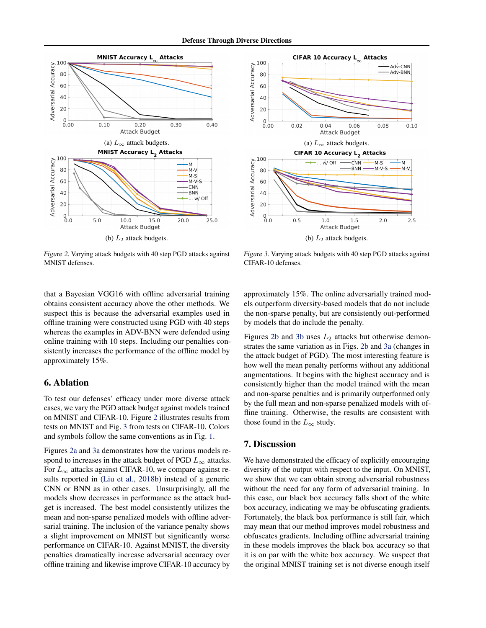<span id="page-7-0"></span>

Figure 2. Varying attack budgets with 40 step PGD attacks against MNIST defenses.



Figure 3. Varying attack budgets with 40 step PGD attacks against CIFAR-10 defenses.

that a Bayesian VGG16 with offline adversarial training obtains consistent accuracy above the other methods. We suspect this is because the adversarial examples used in offline training were constructed using PGD with 40 steps whereas the examples in ADV-BNN were defended using online training with 10 steps. Including our penalties consistently increases the performance of the offline model by approximately 15%.

# 6. Ablation

To test our defenses' efficacy under more diverse attack cases, we vary the PGD attack budget against models trained on MNIST and CIFAR-10. Figure 2 illustrates results from tests on MNIST and Fig. 3 from tests on CIFAR-10. Colors and symbols follow the same conventions as in Fig. [1.](#page-6-0)

Figures 2a and 3a demonstrates how the various models respond to increases in the attack budget of PGD  $L_{\infty}$  attacks. For  $L_{\infty}$  attacks against CIFAR-10, we compare against results reported in [\(Liu et al.,](#page-9-0) [2018b\)](#page-9-0) instead of a generic CNN or BNN as in other cases. Unsurprisingly, all the models show decreases in performance as the attack budget is increased. The best model consistently utilizes the mean and non-sparse penalized models with offline adversarial training. The inclusion of the variance penalty shows a slight improvement on MNIST but significantly worse performance on CIFAR-10. Against MNIST, the diversity penalties dramatically increase adversarial accuracy over offline training and likewise improve CIFAR-10 accuracy by

approximately 15%. The online adversarially trained models outperform diversity-based models that do not include the non-sparse penalty, but are consistently out-performed by models that do include the penalty.

Figures 2b and 3b uses  $L_2$  attacks but otherwise demonstrates the same variation as in Figs. 2b and 3a (changes in the attack budget of PGD). The most interesting feature is how well the mean penalty performs without any additional augmentations. It begins with the highest accuracy and is consistently higher than the model trained with the mean and non-sparse penalties and is primarily outperformed only by the full mean and non-sparse penalized models with offline training. Otherwise, the results are consistent with those found in the  $L_{\infty}$  study.

# 7. Discussion

We have demonstrated the efficacy of explicitly encouraging diversity of the output with respect to the input. On MNIST, we show that we can obtain strong adversarial robustness without the need for any form of adversarial training. In this case, our black box accuracy falls short of the white box accuracy, indicating we may be obfuscating gradients. Fortunately, the black box performance is still fair, which may mean that our method improves model robustness and obfuscates gradients. Including offline adversarial training in these models improves the black box accuracy so that it is on par with the white box accuracy. We suspect that the original MNIST training set is not diverse enough itself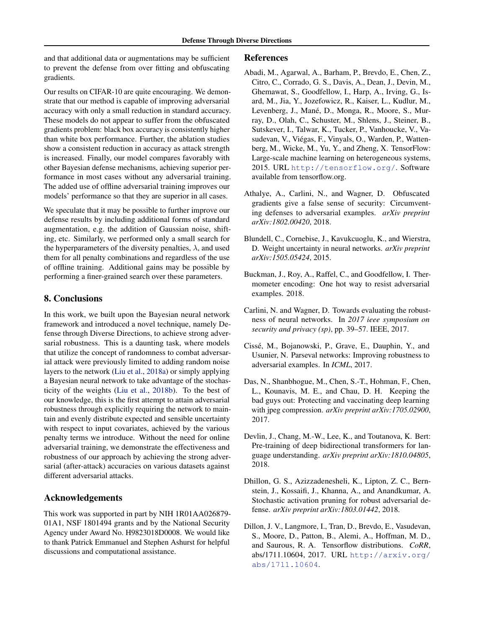<span id="page-8-0"></span>and that additional data or augmentations may be sufficient to prevent the defense from over fitting and obfuscating gradients.

Our results on CIFAR-10 are quite encouraging. We demonstrate that our method is capable of improving adversarial accuracy with only a small reduction in standard accuracy. These models do not appear to suffer from the obfuscated gradients problem: black box accuracy is consistently higher than white box performance. Further, the ablation studies show a consistent reduction in accuracy as attack strength is increased. Finally, our model compares favorably with other Bayesian defense mechanisms, achieving superior performance in most cases without any adversarial training. The added use of offline adversarial training improves our models' performance so that they are superior in all cases.

We speculate that it may be possible to further improve our defense results by including additional forms of standard augmentation, e.g. the addition of Gaussian noise, shifting, etc. Similarly, we performed only a small search for the hyperparameters of the diversity penalties,  $\lambda$ , and used them for all penalty combinations and regardless of the use of offline training. Additional gains may be possible by performing a finer-grained search over these parameters.

# 8. Conclusions

In this work, we built upon the Bayesian neural network framework and introduced a novel technique, namely Defense through Diverse Directions, to achieve strong adversarial robustness. This is a daunting task, where models that utilize the concept of randomness to combat adversarial attack were previously limited to adding random noise layers to the network [\(Liu et al.,](#page-9-0) [2018a\)](#page-9-0) or simply applying a Bayesian neural network to take advantage of the stochasticity of the weights [\(Liu et al.,](#page-9-0) [2018b\)](#page-9-0). To the best of our knowledge, this is the first attempt to attain adversarial robustness through explicitly requiring the network to maintain and evenly distribute expected and sensible uncertainty with respect to input covariates, achieved by the various penalty terms we introduce. Without the need for online adversarial training, we demonstrate the effectiveness and robustness of our approach by achieving the strong adversarial (after-attack) accuracies on various datasets against different adversarial attacks.

# Acknowledgements

This work was supported in part by NIH 1R01AA026879- 01A1, NSF 1801494 grants and by the National Security Agency under Award No. H9823018D0008. We would like to thank Patrick Emmanuel and Stephen Ashurst for helpful discussions and computational assistance.

### References

- Abadi, M., Agarwal, A., Barham, P., Brevdo, E., Chen, Z., Citro, C., Corrado, G. S., Davis, A., Dean, J., Devin, M., Ghemawat, S., Goodfellow, I., Harp, A., Irving, G., Isard, M., Jia, Y., Jozefowicz, R., Kaiser, L., Kudlur, M., Levenberg, J., Mané, D., Monga, R., Moore, S., Murray, D., Olah, C., Schuster, M., Shlens, J., Steiner, B., Sutskever, I., Talwar, K., Tucker, P., Vanhoucke, V., Vasudevan, V., Viegas, F., Vinyals, O., Warden, P., Watten- ´ berg, M., Wicke, M., Yu, Y., and Zheng, X. TensorFlow: Large-scale machine learning on heterogeneous systems, 2015. URL <http://tensorflow.org/>. Software available from tensorflow.org.
- Athalye, A., Carlini, N., and Wagner, D. Obfuscated gradients give a false sense of security: Circumventing defenses to adversarial examples. *arXiv preprint arXiv:1802.00420*, 2018.
- Blundell, C., Cornebise, J., Kavukcuoglu, K., and Wierstra, D. Weight uncertainty in neural networks. *arXiv preprint arXiv:1505.05424*, 2015.
- Buckman, J., Roy, A., Raffel, C., and Goodfellow, I. Thermometer encoding: One hot way to resist adversarial examples. 2018.
- Carlini, N. and Wagner, D. Towards evaluating the robustness of neural networks. In *2017 ieee symposium on security and privacy (sp)*, pp. 39–57. IEEE, 2017.
- Cisse, M., Bojanowski, P., Grave, E., Dauphin, Y., and ´ Usunier, N. Parseval networks: Improving robustness to adversarial examples. In *ICML*, 2017.
- Das, N., Shanbhogue, M., Chen, S.-T., Hohman, F., Chen, L., Kounavis, M. E., and Chau, D. H. Keeping the bad guys out: Protecting and vaccinating deep learning with jpeg compression. *arXiv preprint arXiv:1705.02900*, 2017.
- Devlin, J., Chang, M.-W., Lee, K., and Toutanova, K. Bert: Pre-training of deep bidirectional transformers for language understanding. *arXiv preprint arXiv:1810.04805*, 2018.
- Dhillon, G. S., Azizzadenesheli, K., Lipton, Z. C., Bernstein, J., Kossaifi, J., Khanna, A., and Anandkumar, A. Stochastic activation pruning for robust adversarial defense. *arXiv preprint arXiv:1803.01442*, 2018.
- Dillon, J. V., Langmore, I., Tran, D., Brevdo, E., Vasudevan, S., Moore, D., Patton, B., Alemi, A., Hoffman, M. D., and Saurous, R. A. Tensorflow distributions. *CoRR*, abs/1711.10604, 2017. URL [http://arxiv.org/](http://arxiv.org/abs/1711.10604) [abs/1711.10604](http://arxiv.org/abs/1711.10604).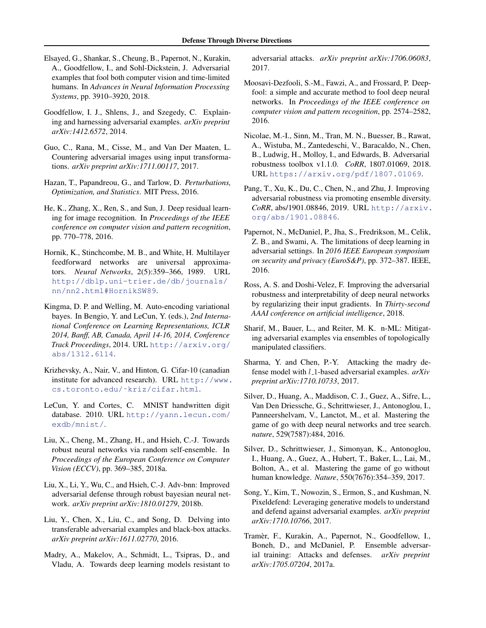- <span id="page-9-0"></span>Elsayed, G., Shankar, S., Cheung, B., Papernot, N., Kurakin, A., Goodfellow, I., and Sohl-Dickstein, J. Adversarial examples that fool both computer vision and time-limited humans. In *Advances in Neural Information Processing Systems*, pp. 3910–3920, 2018.
- Goodfellow, I. J., Shlens, J., and Szegedy, C. Explaining and harnessing adversarial examples. *arXiv preprint arXiv:1412.6572*, 2014.
- Guo, C., Rana, M., Cisse, M., and Van Der Maaten, L. Countering adversarial images using input transformations. *arXiv preprint arXiv:1711.00117*, 2017.
- Hazan, T., Papandreou, G., and Tarlow, D. *Perturbations, Optimization, and Statistics*. MIT Press, 2016.
- He, K., Zhang, X., Ren, S., and Sun, J. Deep residual learning for image recognition. In *Proceedings of the IEEE conference on computer vision and pattern recognition*, pp. 770–778, 2016.
- Hornik, K., Stinchcombe, M. B., and White, H. Multilayer feedforward networks are universal approximators. *Neural Networks*, 2(5):359–366, 1989. URL [http://dblp.uni-trier.de/db/journals/](http://dblp.uni-trier.de/db/journals/nn/nn2.html#HornikSW89) [nn/nn2.html#HornikSW89](http://dblp.uni-trier.de/db/journals/nn/nn2.html#HornikSW89).
- Kingma, D. P. and Welling, M. Auto-encoding variational bayes. In Bengio, Y. and LeCun, Y. (eds.), *2nd International Conference on Learning Representations, ICLR 2014, Banff, AB, Canada, April 14-16, 2014, Conference Track Proceedings*, 2014. URL [http://arxiv.org/](http://arxiv.org/abs/1312.6114) [abs/1312.6114](http://arxiv.org/abs/1312.6114).
- Krizhevsky, A., Nair, V., and Hinton, G. Cifar-10 (canadian institute for advanced research). URL [http://www.](http://www.cs.toronto.edu/~kriz/cifar.html) [cs.toronto.edu/˜kriz/cifar.html](http://www.cs.toronto.edu/~kriz/cifar.html).
- LeCun, Y. and Cortes, C. MNIST handwritten digit database. 2010. URL [http://yann.lecun.com/](http://yann.lecun.com/exdb/mnist/) [exdb/mnist/](http://yann.lecun.com/exdb/mnist/).
- Liu, X., Cheng, M., Zhang, H., and Hsieh, C.-J. Towards robust neural networks via random self-ensemble. In *Proceedings of the European Conference on Computer Vision (ECCV)*, pp. 369–385, 2018a.
- Liu, X., Li, Y., Wu, C., and Hsieh, C.-J. Adv-bnn: Improved adversarial defense through robust bayesian neural network. *arXiv preprint arXiv:1810.01279*, 2018b.
- Liu, Y., Chen, X., Liu, C., and Song, D. Delving into transferable adversarial examples and black-box attacks. *arXiv preprint arXiv:1611.02770*, 2016.
- Madry, A., Makelov, A., Schmidt, L., Tsipras, D., and Vladu, A. Towards deep learning models resistant to

adversarial attacks. *arXiv preprint arXiv:1706.06083*, 2017.

- Moosavi-Dezfooli, S.-M., Fawzi, A., and Frossard, P. Deepfool: a simple and accurate method to fool deep neural networks. In *Proceedings of the IEEE conference on computer vision and pattern recognition*, pp. 2574–2582, 2016.
- Nicolae, M.-I., Sinn, M., Tran, M. N., Buesser, B., Rawat, A., Wistuba, M., Zantedeschi, V., Baracaldo, N., Chen, B., Ludwig, H., Molloy, I., and Edwards, B. Adversarial robustness toolbox v1.1.0. *CoRR*, 1807.01069, 2018. URL <https://arxiv.org/pdf/1807.01069>.
- Pang, T., Xu, K., Du, C., Chen, N., and Zhu, J. Improving adversarial robustness via promoting ensemble diversity. *CoRR*, abs/1901.08846, 2019. URL [http://arxiv.](http://arxiv.org/abs/1901.08846) [org/abs/1901.08846](http://arxiv.org/abs/1901.08846).
- Papernot, N., McDaniel, P., Jha, S., Fredrikson, M., Celik, Z. B., and Swami, A. The limitations of deep learning in adversarial settings. In *2016 IEEE European symposium on security and privacy (EuroS&P)*, pp. 372–387. IEEE, 2016.
- Ross, A. S. and Doshi-Velez, F. Improving the adversarial robustness and interpretability of deep neural networks by regularizing their input gradients. In *Thirty-second AAAI conference on artificial intelligence*, 2018.
- Sharif, M., Bauer, L., and Reiter, M. K. n-ML: Mitigating adversarial examples via ensembles of topologically manipulated classifiers.
- Sharma, Y. and Chen, P.-Y. Attacking the madry defense model with l 1-based adversarial examples. *arXiv preprint arXiv:1710.10733*, 2017.
- Silver, D., Huang, A., Maddison, C. J., Guez, A., Sifre, L., Van Den Driessche, G., Schrittwieser, J., Antonoglou, I., Panneershelvam, V., Lanctot, M., et al. Mastering the game of go with deep neural networks and tree search. *nature*, 529(7587):484, 2016.
- Silver, D., Schrittwieser, J., Simonyan, K., Antonoglou, I., Huang, A., Guez, A., Hubert, T., Baker, L., Lai, M., Bolton, A., et al. Mastering the game of go without human knowledge. *Nature*, 550(7676):354–359, 2017.
- Song, Y., Kim, T., Nowozin, S., Ermon, S., and Kushman, N. Pixeldefend: Leveraging generative models to understand and defend against adversarial examples. *arXiv preprint arXiv:1710.10766*, 2017.
- Tramer, F., Kurakin, A., Papernot, N., Goodfellow, I., ` Boneh, D., and McDaniel, P. Ensemble adversarial training: Attacks and defenses. *arXiv preprint arXiv:1705.07204*, 2017a.